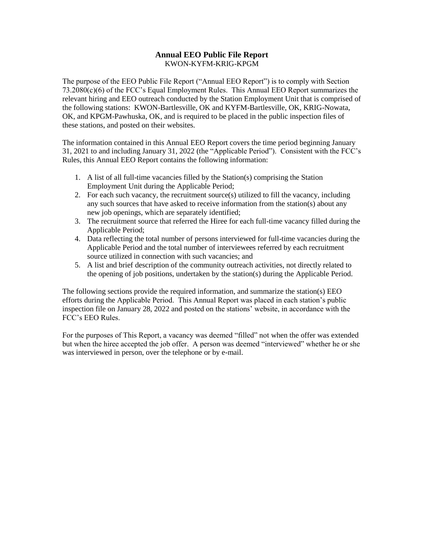### **Annual EEO Public File Report** KWON-KYFM-KRIG-KPGM

The purpose of the EEO Public File Report ("Annual EEO Report") is to comply with Section 73.2080(c)(6) of the FCC's Equal Employment Rules. This Annual EEO Report summarizes the relevant hiring and EEO outreach conducted by the Station Employment Unit that is comprised of the following stations: KWON-Bartlesville, OK and KYFM-Bartlesville, OK, KRIG-Nowata, OK, and KPGM-Pawhuska, OK, and is required to be placed in the public inspection files of these stations, and posted on their websites.

The information contained in this Annual EEO Report covers the time period beginning January 31, 2021 to and including January 31, 2022 (the "Applicable Period"). Consistent with the FCC's Rules, this Annual EEO Report contains the following information:

- 1. A list of all full-time vacancies filled by the Station(s) comprising the Station Employment Unit during the Applicable Period;
- 2. For each such vacancy, the recruitment source(s) utilized to fill the vacancy, including any such sources that have asked to receive information from the station(s) about any new job openings, which are separately identified;
- 3. The recruitment source that referred the Hiree for each full-time vacancy filled during the Applicable Period;
- 4. Data reflecting the total number of persons interviewed for full-time vacancies during the Applicable Period and the total number of interviewees referred by each recruitment source utilized in connection with such vacancies; and
- 5. A list and brief description of the community outreach activities, not directly related to the opening of job positions, undertaken by the station(s) during the Applicable Period.

The following sections provide the required information, and summarize the station(s) EEO efforts during the Applicable Period. This Annual Report was placed in each station's public inspection file on January 28, 2022 and posted on the stations' website, in accordance with the FCC's EEO Rules.

For the purposes of This Report, a vacancy was deemed "filled" not when the offer was extended but when the hiree accepted the job offer. A person was deemed "interviewed" whether he or she was interviewed in person, over the telephone or by e-mail.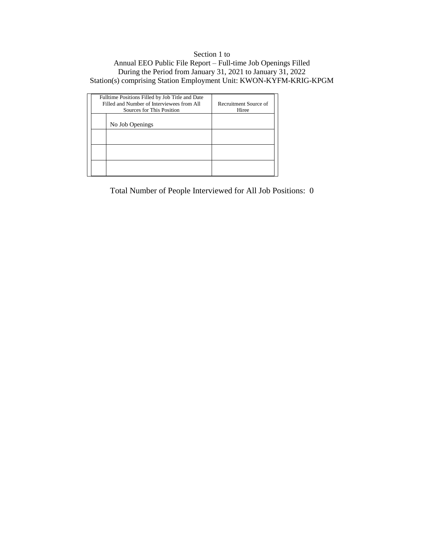# Section 1 to Annual EEO Public File Report – Full-time Job Openings Filled During the Period from January 31, 2021 to January 31, 2022 Station(s) comprising Station Employment Unit: KWON-KYFM-KRIG-KPGM

| Fulltime Positions Filled by Job Title and Date<br>Filled and Number of Interviewees from All<br>Sources for This Position |                 | Recruitment Source of<br>Hiree |
|----------------------------------------------------------------------------------------------------------------------------|-----------------|--------------------------------|
|                                                                                                                            | No Job Openings |                                |
|                                                                                                                            |                 |                                |
|                                                                                                                            |                 |                                |
|                                                                                                                            |                 |                                |

Total Number of People Interviewed for All Job Positions: 0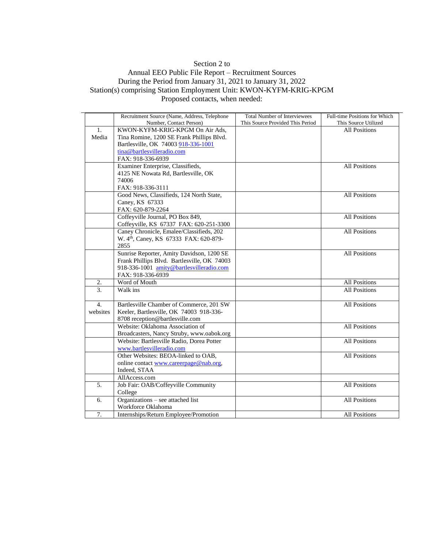# Section 2 to

### Annual EEO Public File Report – Recruitment Sources During the Period from January 31, 2021 to January 31, 2022 Station(s) comprising Station Employment Unit: KWON-KYFM-KRIG-KPGM Proposed contacts, when needed:

|                  | Recruitment Source (Name, Address, Telephone<br>Number, Contact Person) | <b>Total Number of Interviewees</b><br>This Source Provided This Period | Full-time Positions for Which<br>This Source Utilized |
|------------------|-------------------------------------------------------------------------|-------------------------------------------------------------------------|-------------------------------------------------------|
|                  |                                                                         |                                                                         |                                                       |
| 1.               | KWON-KYFM-KRIG-KPGM On Air Ads,                                         |                                                                         | <b>All Positions</b>                                  |
| Media            | Tina Romine, 1200 SE Frank Phillips Blvd.                               |                                                                         |                                                       |
|                  | Bartlesville, OK 74003 918-336-1001                                     |                                                                         |                                                       |
|                  | tina@bartlesvilleradio.com                                              |                                                                         |                                                       |
|                  | FAX: 918-336-6939                                                       |                                                                         |                                                       |
|                  | Examiner Enterprise, Classifieds,                                       |                                                                         | <b>All Positions</b>                                  |
|                  | 4125 NE Nowata Rd, Bartlesville, OK                                     |                                                                         |                                                       |
|                  | 74006                                                                   |                                                                         |                                                       |
|                  | FAX: 918-336-3111                                                       |                                                                         |                                                       |
|                  | Good News, Classifieds, 124 North State,                                |                                                                         | <b>All Positions</b>                                  |
|                  | Caney, KS 67333                                                         |                                                                         |                                                       |
|                  | FAX: 620-879-2264                                                       |                                                                         |                                                       |
|                  | Coffeyville Journal, PO Box 849,                                        |                                                                         | <b>All Positions</b>                                  |
|                  | Coffeyville, KS 67337 FAX: 620-251-3300                                 |                                                                         |                                                       |
|                  | Caney Chronicle, Emalee/Classifieds, 202                                |                                                                         | <b>All Positions</b>                                  |
|                  | W. 4 <sup>th</sup> , Caney, KS 67333 FAX: 620-879-                      |                                                                         |                                                       |
|                  | 2855                                                                    |                                                                         |                                                       |
|                  | Sunrise Reporter, Amity Davidson, 1200 SE                               |                                                                         | <b>All Positions</b>                                  |
|                  | Frank Phillips Blvd. Bartlesville, OK 74003                             |                                                                         |                                                       |
|                  | 918-336-1001 amity@bartlesvilleradio.com                                |                                                                         |                                                       |
|                  | FAX: 918-336-6939                                                       |                                                                         |                                                       |
| 2.               | Word of Mouth                                                           |                                                                         | All Positions                                         |
| $\mathcal{F}$    | Walk ins                                                                |                                                                         | <b>All Positions</b>                                  |
| $\overline{4}$ . | Bartlesville Chamber of Commerce, 201 SW                                |                                                                         | <b>All Positions</b>                                  |
| websites         | Keeler, Bartlesville, OK 74003 918-336-                                 |                                                                         |                                                       |
|                  | 8708 reception@bartlesville.com                                         |                                                                         |                                                       |
|                  | Website: Oklahoma Association of                                        |                                                                         | <b>All Positions</b>                                  |
|                  | Broadcasters, Nancy Struby, www.oabok.org                               |                                                                         |                                                       |
|                  | Website: Bartlesville Radio, Dorea Potter                               |                                                                         | <b>All Positions</b>                                  |
|                  |                                                                         |                                                                         |                                                       |
|                  | www.bartlesvilleradio.com<br>Other Websites: BEOA-linked to OAB,        |                                                                         |                                                       |
|                  |                                                                         |                                                                         | <b>All Positions</b>                                  |
|                  | online contact www.careerpage@nab.org,                                  |                                                                         |                                                       |
|                  | Indeed, STAA                                                            |                                                                         |                                                       |
|                  | AllAccess.com                                                           |                                                                         |                                                       |
| 5.               | Job Fair: OAB/Coffeyville Community                                     |                                                                         | <b>All Positions</b>                                  |
|                  | College                                                                 |                                                                         |                                                       |
| 6.               | Organizations - see attached list                                       |                                                                         | <b>All Positions</b>                                  |
|                  | Workforce Oklahoma                                                      |                                                                         |                                                       |
| 7.               | Internships/Return Employee/Promotion                                   |                                                                         | <b>All Positions</b>                                  |